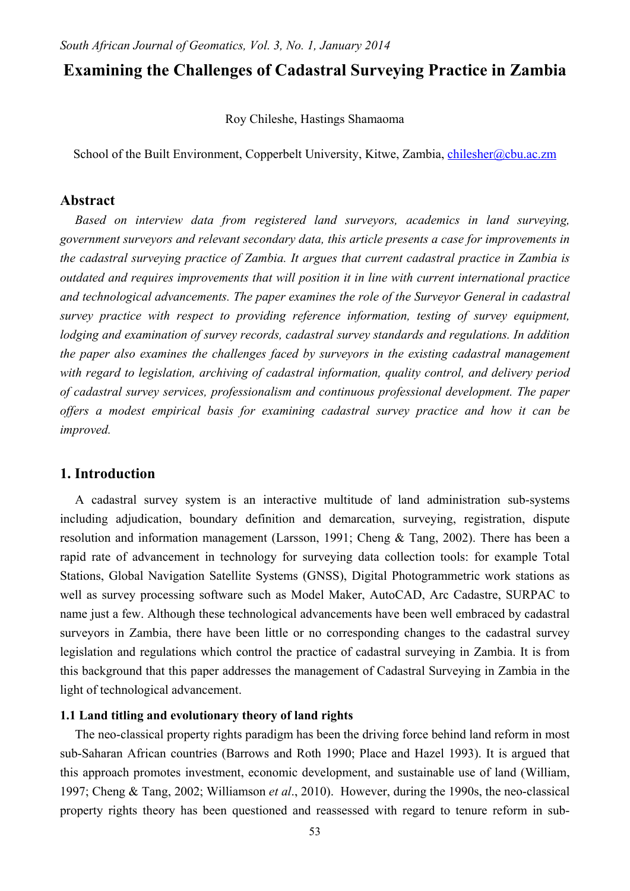# **Examining the Challenges of Cadastral Surveying Practice in Zambia**

Roy Chileshe, Hastings Shamaoma

School of the Built Environment, Copperbelt University, Kitwe, Zambia, [chilesher@cbu.ac.zm](mailto:chilesher@cbu.ac.zm)

## **Abstract**

*Based on interview data from registered land surveyors, academics in land surveying, government surveyors and relevant secondary data, this article presents a case for improvements in the cadastral surveying practice of Zambia. It argues that current cadastral practice in Zambia is outdated and requires improvements that will position it in line with current international practice and technological advancements. The paper examines the role of the Surveyor General in cadastral survey practice with respect to providing reference information, testing of survey equipment, lodging and examination of survey records, cadastral survey standards and regulations. In addition the paper also examines the challenges faced by surveyors in the existing cadastral management with regard to legislation, archiving of cadastral information, quality control, and delivery period of cadastral survey services, professionalism and continuous professional development. The paper offers a modest empirical basis for examining cadastral survey practice and how it can be improved.* 

## **1. Introduction**

A cadastral survey system is an interactive multitude of land administration sub-systems including adjudication, boundary definition and demarcation, surveying, registration, dispute resolution and information management (Larsson, 1991; Cheng & Tang, 2002). There has been a rapid rate of advancement in technology for surveying data collection tools: for example Total Stations, Global Navigation Satellite Systems (GNSS), Digital Photogrammetric work stations as well as survey processing software such as Model Maker, AutoCAD, Arc Cadastre, SURPAC to name just a few. Although these technological advancements have been well embraced by cadastral surveyors in Zambia, there have been little or no corresponding changes to the cadastral survey legislation and regulations which control the practice of cadastral surveying in Zambia. It is from this background that this paper addresses the management of Cadastral Surveying in Zambia in the light of technological advancement.

#### **1.1 Land titling and evolutionary theory of land rights**

The neo-classical property rights paradigm has been the driving force behind land reform in most sub-Saharan African countries (Barrows and Roth 1990; Place and Hazel 1993). It is argued that this approach promotes investment, economic development, and sustainable use of land (William, 1997; Cheng & Tang, 2002; Williamson *et al*., 2010). However, during the 1990s, the neo-classical property rights theory has been questioned and reassessed with regard to tenure reform in sub-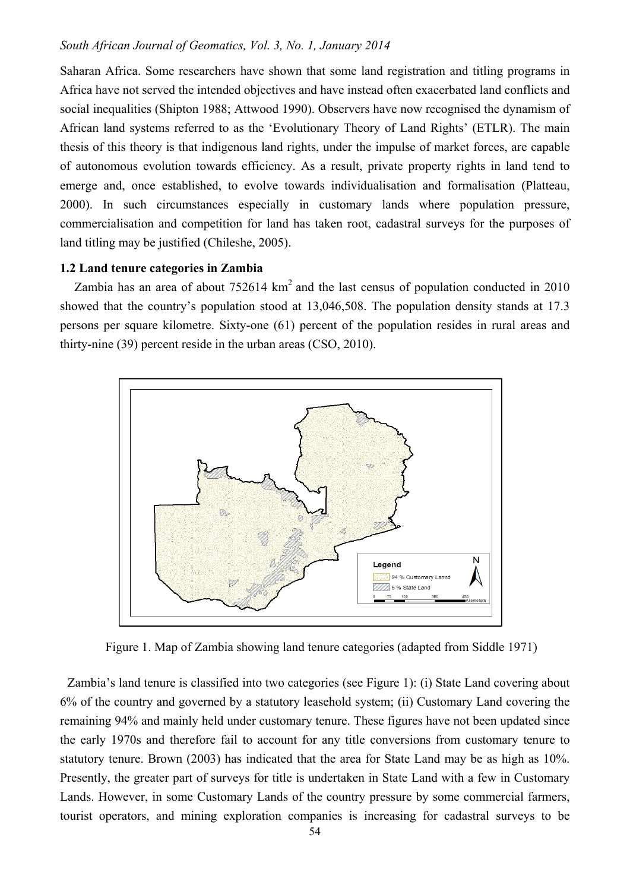Saharan Africa. Some researchers have shown that some land registration and titling programs in Africa have not served the intended objectives and have instead often exacerbated land conflicts and social inequalities (Shipton 1988; Attwood 1990). Observers have now recognised the dynamism of African land systems referred to as the 'Evolutionary Theory of Land Rights' (ETLR). The main thesis of this theory is that indigenous land rights, under the impulse of market forces, are capable of autonomous evolution towards efficiency. As a result, private property rights in land tend to emerge and, once established, to evolve towards individualisation and formalisation (Platteau, 2000). In such circumstances especially in customary lands where population pressure, commercialisation and competition for land has taken root, cadastral surveys for the purposes of land titling may be justified (Chileshe, 2005).

### **1.2 Land tenure categories in Zambia**

Zambia has an area of about  $752614 \text{ km}^2$  and the last census of population conducted in 2010 showed that the country's population stood at 13,046,508. The population density stands at 17.3 persons per square kilometre. Sixty-one (61) percent of the population resides in rural areas and thirty-nine (39) percent reside in the urban areas (CSO, 2010).



Figure 1. Map of Zambia showing land tenure categories (adapted from Siddle 1971)

Zambia's land tenure is classified into two categories (see Figure 1): (i) State Land covering about 6% of the country and governed by a statutory leasehold system; (ii) Customary Land covering the remaining 94% and mainly held under customary tenure. These figures have not been updated since the early 1970s and therefore fail to account for any title conversions from customary tenure to statutory tenure. Brown (2003) has indicated that the area for State Land may be as high as 10%. Presently, the greater part of surveys for title is undertaken in State Land with a few in Customary Lands. However, in some Customary Lands of the country pressure by some commercial farmers, tourist operators, and mining exploration companies is increasing for cadastral surveys to be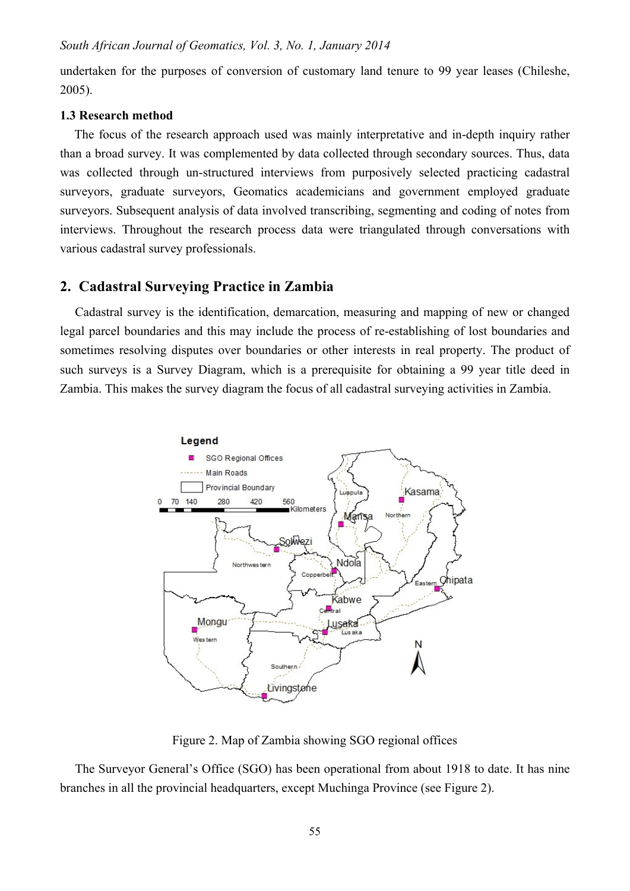undertaken for the purposes of conversion of customary land tenure to 99 year leases (Chileshe, 2005).

#### **1.3 Research method**

The focus of the research approach used was mainly interpretative and in-depth inquiry rather than a broad survey. It was complemented by data collected through secondary sources. Thus, data was collected through un-structured interviews from purposively selected practicing cadastral surveyors, graduate surveyors, Geomatics academicians and government employed graduate surveyors. Subsequent analysis of data involved transcribing, segmenting and coding of notes from interviews. Throughout the research process data were triangulated through conversations with various cadastral survey professionals.

## **2. Cadastral Surveying Practice in Zambia**

Cadastral survey is the identification, demarcation, measuring and mapping of new or changed legal parcel boundaries and this may include the process of re-establishing of lost boundaries and sometimes resolving disputes over boundaries or other interests in real property. The product of such surveys is a Survey Diagram, which is a prerequisite for obtaining a 99 year title deed in Zambia. This makes the survey diagram the focus of all cadastral surveying activities in Zambia.



Figure 2. Map of Zambia showing SGO regional offices

The Surveyor General's Office (SGO) has been operational from about 1918 to date. It has nine branches in all the provincial headquarters, except Muchinga Province (see Figure 2).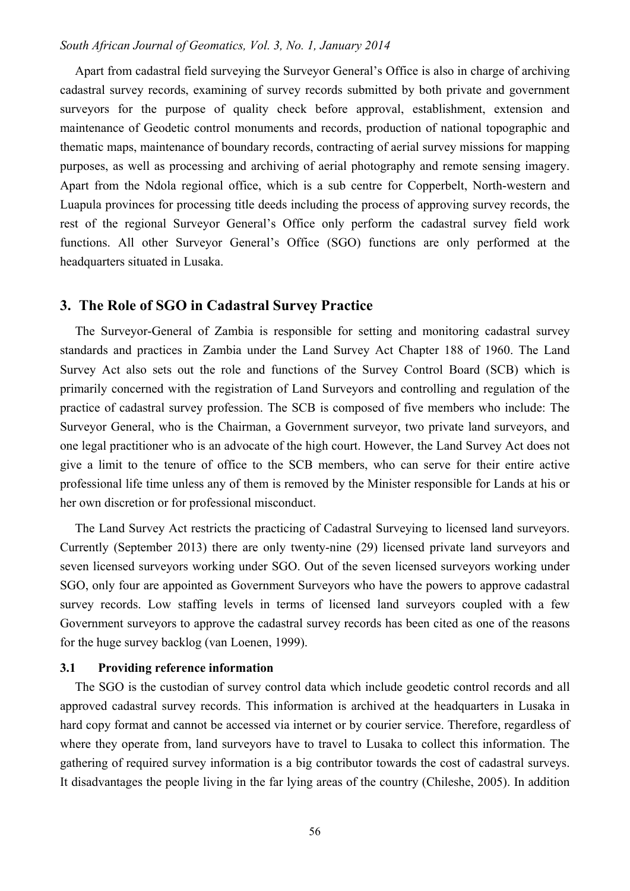Apart from cadastral field surveying the Surveyor General's Office is also in charge of archiving cadastral survey records, examining of survey records submitted by both private and government surveyors for the purpose of quality check before approval, establishment, extension and maintenance of Geodetic control monuments and records, production of national topographic and thematic maps, maintenance of boundary records, contracting of aerial survey missions for mapping purposes, as well as processing and archiving of aerial photography and remote sensing imagery. Apart from the Ndola regional office, which is a sub centre for Copperbelt, North-western and Luapula provinces for processing title deeds including the process of approving survey records, the rest of the regional Surveyor General's Office only perform the cadastral survey field work functions. All other Surveyor General's Office (SGO) functions are only performed at the headquarters situated in Lusaka.

### **3. The Role of SGO in Cadastral Survey Practice**

The Surveyor-General of Zambia is responsible for setting and monitoring cadastral survey standards and practices in Zambia under the Land Survey Act Chapter 188 of 1960. The Land Survey Act also sets out the role and functions of the Survey Control Board (SCB) which is primarily concerned with the registration of Land Surveyors and controlling and regulation of the practice of cadastral survey profession. The SCB is composed of five members who include: The Surveyor General, who is the Chairman, a Government surveyor, two private land surveyors, and one legal practitioner who is an advocate of the high court. However, the Land Survey Act does not give a limit to the tenure of office to the SCB members, who can serve for their entire active professional life time unless any of them is removed by the Minister responsible for Lands at his or her own discretion or for professional misconduct.

The Land Survey Act restricts the practicing of Cadastral Surveying to licensed land surveyors. Currently (September 2013) there are only twenty-nine (29) licensed private land surveyors and seven licensed surveyors working under SGO. Out of the seven licensed surveyors working under SGO, only four are appointed as Government Surveyors who have the powers to approve cadastral survey records. Low staffing levels in terms of licensed land surveyors coupled with a few Government surveyors to approve the cadastral survey records has been cited as one of the reasons for the huge survey backlog (van Loenen, 1999).

## **3.1 Providing reference information**

The SGO is the custodian of survey control data which include geodetic control records and all approved cadastral survey records. This information is archived at the headquarters in Lusaka in hard copy format and cannot be accessed via internet or by courier service. Therefore, regardless of where they operate from, land surveyors have to travel to Lusaka to collect this information. The gathering of required survey information is a big contributor towards the cost of cadastral surveys. It disadvantages the people living in the far lying areas of the country (Chileshe, 2005). In addition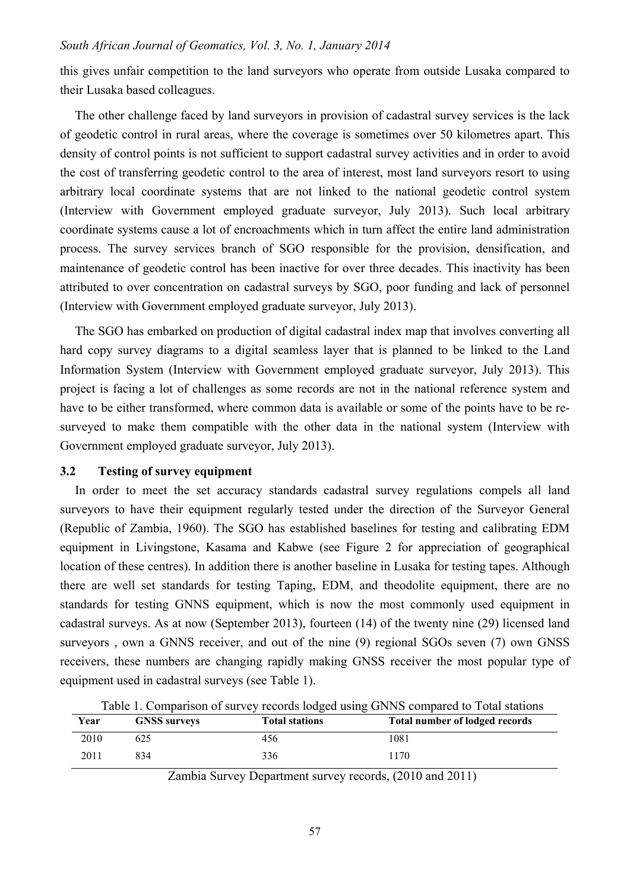this gives unfair competition to the land surveyors who operate from outside Lusaka compared to their Lusaka based colleagues.

The other challenge faced by land surveyors in provision of cadastral survey services is the lack of geodetic control in rural areas, where the coverage is sometimes over 50 kilometres apart. This density of control points is not sufficient to support cadastral survey activities and in order to avoid the cost of transferring geodetic control to the area of interest, most land surveyors resort to using arbitrary local coordinate systems that are not linked to the national geodetic control system (Interview with Government employed graduate surveyor, July 2013). Such local arbitrary coordinate systems cause a lot of encroachments which in turn affect the entire land administration process. The survey services branch of SGO responsible for the provision, densification, and maintenance of geodetic control has been inactive for over three decades. This inactivity has been attributed to over concentration on cadastral surveys by SGO, poor funding and lack of personnel (Interview with Government employed graduate surveyor, July 2013).

The SGO has embarked on production of digital cadastral index map that involves converting all hard copy survey diagrams to a digital seamless layer that is planned to be linked to the Land Information System (Interview with Government employed graduate surveyor, July 2013). This project is facing a lot of challenges as some records are not in the national reference system and have to be either transformed, where common data is available or some of the points have to be resurveyed to make them compatible with the other data in the national system (Interview with Government employed graduate surveyor, July 2013).

## **3.2 Testing of survey equipment**

In order to meet the set accuracy standards cadastral survey regulations compels all land surveyors to have their equipment regularly tested under the direction of the Surveyor General (Republic of Zambia, 1960). The SGO has established baselines for testing and calibrating EDM equipment in Livingstone, Kasama and Kabwe (see Figure 2 for appreciation of geographical location of these centres). In addition there is another baseline in Lusaka for testing tapes. Although there are well set standards for testing Taping, EDM, and theodolite equipment, there are no standards for testing GNNS equipment, which is now the most commonly used equipment in cadastral surveys. As at now (September 2013), fourteen (14) of the twenty nine (29) licensed land surveyors , own a GNNS receiver, and out of the nine (9) regional SGOs seven (7) own GNSS receivers, these numbers are changing rapidly making GNSS receiver the most popular type of equipment used in cadastral surveys (see Table 1).

|      | Table 1. Comparison of survey records louged using Giving compared to Total stations |                       |                                |  |  |
|------|--------------------------------------------------------------------------------------|-----------------------|--------------------------------|--|--|
| Year | <b>GNSS surveys</b>                                                                  | <b>Total stations</b> | Total number of lodged records |  |  |
| 2010 | 625                                                                                  | 456                   | 1081                           |  |  |
| 2011 | 834                                                                                  | 336                   | 1170                           |  |  |

Table 1. Comparison of survey records lodged using GNNS compared to Total stations

Zambia Survey Department survey records, (2010 and 2011)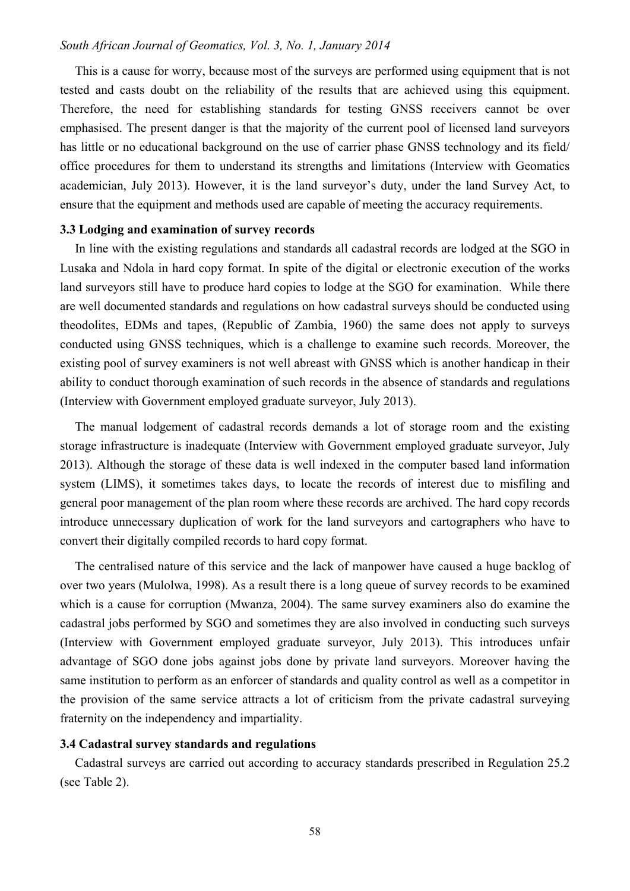This is a cause for worry, because most of the surveys are performed using equipment that is not tested and casts doubt on the reliability of the results that are achieved using this equipment. Therefore, the need for establishing standards for testing GNSS receivers cannot be over emphasised. The present danger is that the majority of the current pool of licensed land surveyors has little or no educational background on the use of carrier phase GNSS technology and its field/ office procedures for them to understand its strengths and limitations (Interview with Geomatics academician, July 2013). However, it is the land surveyor's duty, under the land Survey Act, to ensure that the equipment and methods used are capable of meeting the accuracy requirements.

## **3.3 Lodging and examination of survey records**

In line with the existing regulations and standards all cadastral records are lodged at the SGO in Lusaka and Ndola in hard copy format. In spite of the digital or electronic execution of the works land surveyors still have to produce hard copies to lodge at the SGO for examination. While there are well documented standards and regulations on how cadastral surveys should be conducted using theodolites, EDMs and tapes, (Republic of Zambia, 1960) the same does not apply to surveys conducted using GNSS techniques, which is a challenge to examine such records. Moreover, the existing pool of survey examiners is not well abreast with GNSS which is another handicap in their ability to conduct thorough examination of such records in the absence of standards and regulations (Interview with Government employed graduate surveyor, July 2013).

The manual lodgement of cadastral records demands a lot of storage room and the existing storage infrastructure is inadequate (Interview with Government employed graduate surveyor, July 2013). Although the storage of these data is well indexed in the computer based land information system (LIMS), it sometimes takes days, to locate the records of interest due to misfiling and general poor management of the plan room where these records are archived. The hard copy records introduce unnecessary duplication of work for the land surveyors and cartographers who have to convert their digitally compiled records to hard copy format.

The centralised nature of this service and the lack of manpower have caused a huge backlog of over two years (Mulolwa, 1998). As a result there is a long queue of survey records to be examined which is a cause for corruption (Mwanza, 2004). The same survey examiners also do examine the cadastral jobs performed by SGO and sometimes they are also involved in conducting such surveys (Interview with Government employed graduate surveyor, July 2013). This introduces unfair advantage of SGO done jobs against jobs done by private land surveyors. Moreover having the same institution to perform as an enforcer of standards and quality control as well as a competitor in the provision of the same service attracts a lot of criticism from the private cadastral surveying fraternity on the independency and impartiality.

#### **3.4 Cadastral survey standards and regulations**

Cadastral surveys are carried out according to accuracy standards prescribed in Regulation 25.2 (see Table 2).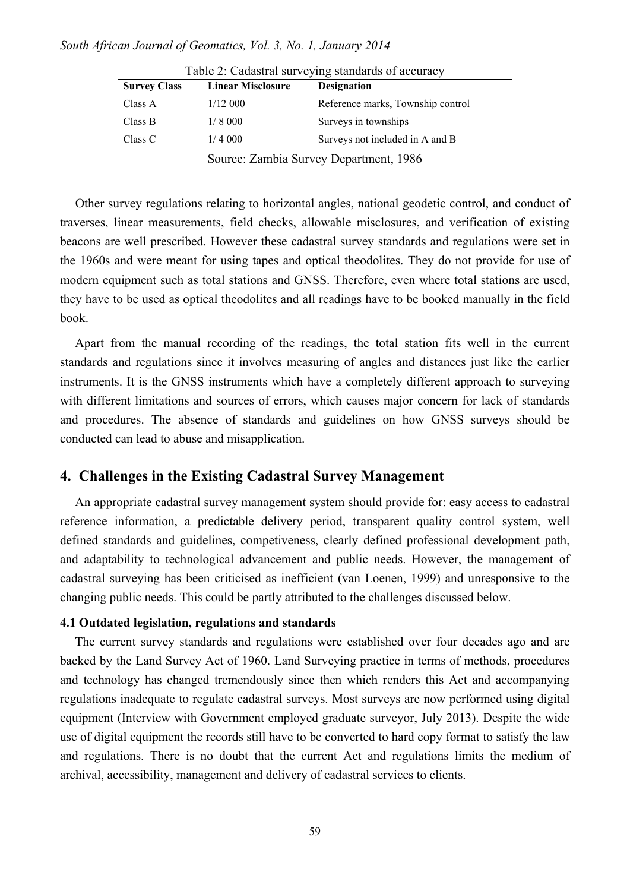| <b>Survey Class</b> | <b>Linear Misclosure</b> | <b>Designation</b>                    |
|---------------------|--------------------------|---------------------------------------|
| Class A             | 1/12000                  | Reference marks, Township control     |
| Class B             | 1/8000                   | Surveys in townships                  |
| Class C             | 1/4000                   | Surveys not included in A and B       |
|                     |                          | Source: Zambia Survey Department 1986 |

Table 2: Cadastral surveying standards of accuracy

Source: Zambia Survey Department, 1986

Other survey regulations relating to horizontal angles, national geodetic control, and conduct of traverses, linear measurements, field checks, allowable misclosures, and verification of existing beacons are well prescribed. However these cadastral survey standards and regulations were set in the 1960s and were meant for using tapes and optical theodolites. They do not provide for use of modern equipment such as total stations and GNSS. Therefore, even where total stations are used, they have to be used as optical theodolites and all readings have to be booked manually in the field book.

Apart from the manual recording of the readings, the total station fits well in the current standards and regulations since it involves measuring of angles and distances just like the earlier instruments. It is the GNSS instruments which have a completely different approach to surveying with different limitations and sources of errors, which causes major concern for lack of standards and procedures. The absence of standards and guidelines on how GNSS surveys should be conducted can lead to abuse and misapplication.

## **4. Challenges in the Existing Cadastral Survey Management**

An appropriate cadastral survey management system should provide for: easy access to cadastral reference information, a predictable delivery period, transparent quality control system, well defined standards and guidelines, competiveness, clearly defined professional development path, and adaptability to technological advancement and public needs. However, the management of cadastral surveying has been criticised as inefficient (van Loenen, 1999) and unresponsive to the changing public needs. This could be partly attributed to the challenges discussed below.

## **4.1 Outdated legislation, regulations and standards**

The current survey standards and regulations were established over four decades ago and are backed by the Land Survey Act of 1960. Land Surveying practice in terms of methods, procedures and technology has changed tremendously since then which renders this Act and accompanying regulations inadequate to regulate cadastral surveys. Most surveys are now performed using digital equipment (Interview with Government employed graduate surveyor, July 2013). Despite the wide use of digital equipment the records still have to be converted to hard copy format to satisfy the law and regulations. There is no doubt that the current Act and regulations limits the medium of archival, accessibility, management and delivery of cadastral services to clients.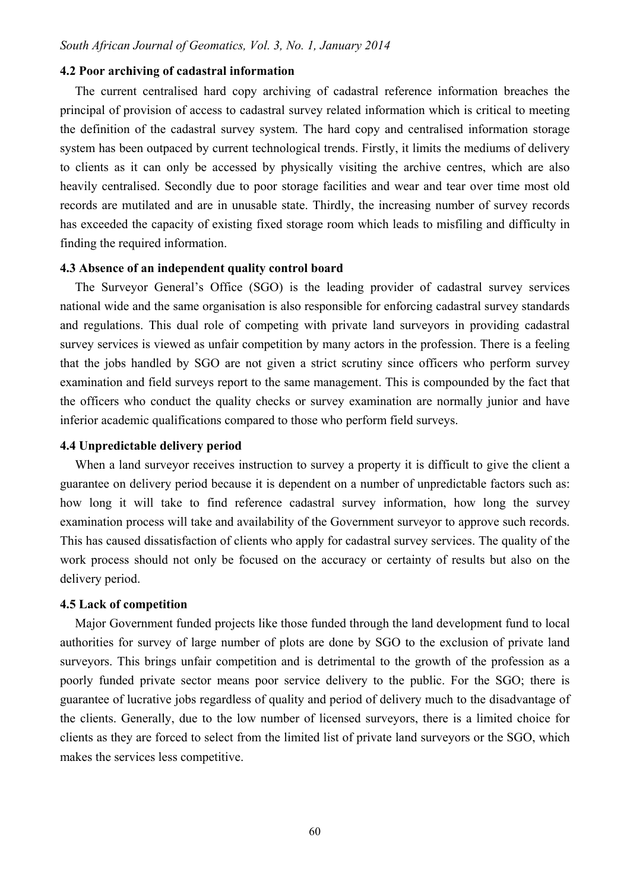#### **4.2 Poor archiving of cadastral information**

The current centralised hard copy archiving of cadastral reference information breaches the principal of provision of access to cadastral survey related information which is critical to meeting the definition of the cadastral survey system. The hard copy and centralised information storage system has been outpaced by current technological trends. Firstly, it limits the mediums of delivery to clients as it can only be accessed by physically visiting the archive centres, which are also heavily centralised. Secondly due to poor storage facilities and wear and tear over time most old records are mutilated and are in unusable state. Thirdly, the increasing number of survey records has exceeded the capacity of existing fixed storage room which leads to misfiling and difficulty in finding the required information.

### **4.3 Absence of an independent quality control board**

The Surveyor General's Office (SGO) is the leading provider of cadastral survey services national wide and the same organisation is also responsible for enforcing cadastral survey standards and regulations. This dual role of competing with private land surveyors in providing cadastral survey services is viewed as unfair competition by many actors in the profession. There is a feeling that the jobs handled by SGO are not given a strict scrutiny since officers who perform survey examination and field surveys report to the same management. This is compounded by the fact that the officers who conduct the quality checks or survey examination are normally junior and have inferior academic qualifications compared to those who perform field surveys.

## **4.4 Unpredictable delivery period**

When a land surveyor receives instruction to survey a property it is difficult to give the client a guarantee on delivery period because it is dependent on a number of unpredictable factors such as: how long it will take to find reference cadastral survey information, how long the survey examination process will take and availability of the Government surveyor to approve such records. This has caused dissatisfaction of clients who apply for cadastral survey services. The quality of the work process should not only be focused on the accuracy or certainty of results but also on the delivery period.

#### **4.5 Lack of competition**

Major Government funded projects like those funded through the land development fund to local authorities for survey of large number of plots are done by SGO to the exclusion of private land surveyors. This brings unfair competition and is detrimental to the growth of the profession as a poorly funded private sector means poor service delivery to the public. For the SGO; there is guarantee of lucrative jobs regardless of quality and period of delivery much to the disadvantage of the clients. Generally, due to the low number of licensed surveyors, there is a limited choice for clients as they are forced to select from the limited list of private land surveyors or the SGO, which makes the services less competitive.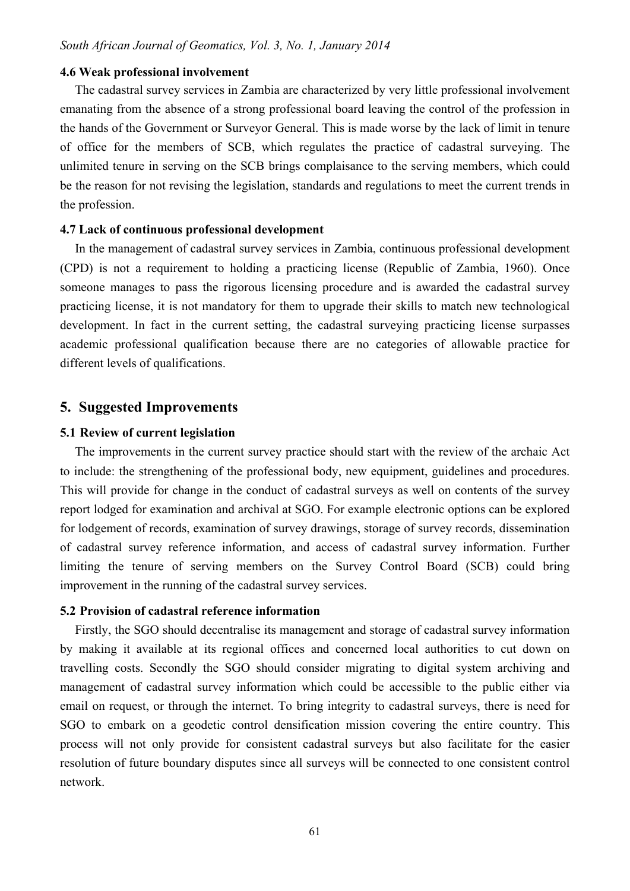#### **4.6 Weak professional involvement**

The cadastral survey services in Zambia are characterized by very little professional involvement emanating from the absence of a strong professional board leaving the control of the profession in the hands of the Government or Surveyor General. This is made worse by the lack of limit in tenure of office for the members of SCB, which regulates the practice of cadastral surveying. The unlimited tenure in serving on the SCB brings complaisance to the serving members, which could be the reason for not revising the legislation, standards and regulations to meet the current trends in the profession.

#### **4.7 Lack of continuous professional development**

In the management of cadastral survey services in Zambia, continuous professional development (CPD) is not a requirement to holding a practicing license (Republic of Zambia, 1960). Once someone manages to pass the rigorous licensing procedure and is awarded the cadastral survey practicing license, it is not mandatory for them to upgrade their skills to match new technological development. In fact in the current setting, the cadastral surveying practicing license surpasses academic professional qualification because there are no categories of allowable practice for different levels of qualifications.

### **5. Suggested Improvements**

#### **5.1 Review of current legislation**

The improvements in the current survey practice should start with the review of the archaic Act to include: the strengthening of the professional body, new equipment, guidelines and procedures. This will provide for change in the conduct of cadastral surveys as well on contents of the survey report lodged for examination and archival at SGO. For example electronic options can be explored for lodgement of records, examination of survey drawings, storage of survey records, dissemination of cadastral survey reference information, and access of cadastral survey information. Further limiting the tenure of serving members on the Survey Control Board (SCB) could bring improvement in the running of the cadastral survey services.

## **5.2 Provision of cadastral reference information**

Firstly, the SGO should decentralise its management and storage of cadastral survey information by making it available at its regional offices and concerned local authorities to cut down on travelling costs. Secondly the SGO should consider migrating to digital system archiving and management of cadastral survey information which could be accessible to the public either via email on request, or through the internet. To bring integrity to cadastral surveys, there is need for SGO to embark on a geodetic control densification mission covering the entire country. This process will not only provide for consistent cadastral surveys but also facilitate for the easier resolution of future boundary disputes since all surveys will be connected to one consistent control network.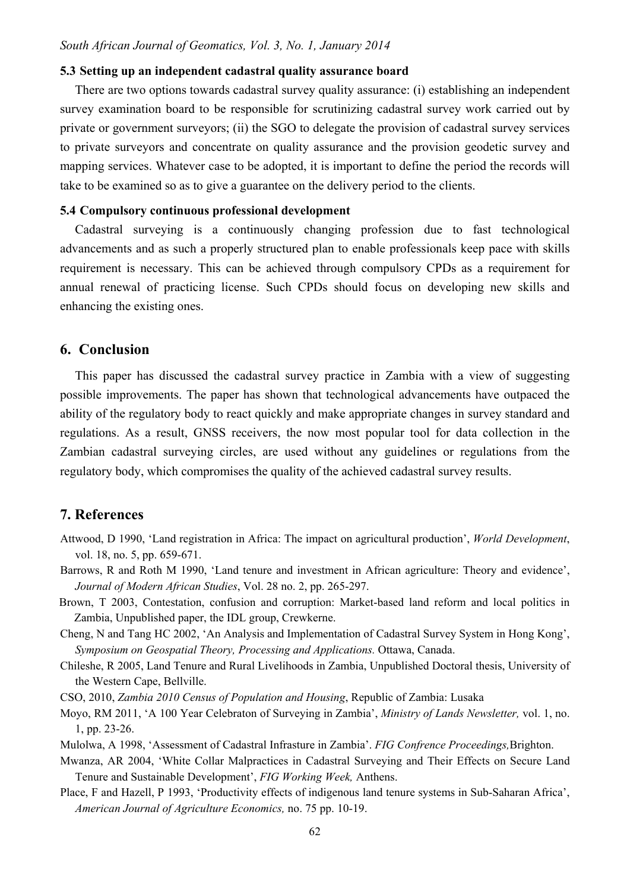### **5.3 Setting up an independent cadastral quality assurance board**

There are two options towards cadastral survey quality assurance: (i) establishing an independent survey examination board to be responsible for scrutinizing cadastral survey work carried out by private or government surveyors; (ii) the SGO to delegate the provision of cadastral survey services to private surveyors and concentrate on quality assurance and the provision geodetic survey and mapping services. Whatever case to be adopted, it is important to define the period the records will take to be examined so as to give a guarantee on the delivery period to the clients.

#### **5.4 Compulsory continuous professional development**

Cadastral surveying is a continuously changing profession due to fast technological advancements and as such a properly structured plan to enable professionals keep pace with skills requirement is necessary. This can be achieved through compulsory CPDs as a requirement for annual renewal of practicing license. Such CPDs should focus on developing new skills and enhancing the existing ones.

## **6. Conclusion**

This paper has discussed the cadastral survey practice in Zambia with a view of suggesting possible improvements. The paper has shown that technological advancements have outpaced the ability of the regulatory body to react quickly and make appropriate changes in survey standard and regulations. As a result, GNSS receivers, the now most popular tool for data collection in the Zambian cadastral surveying circles, are used without any guidelines or regulations from the regulatory body, which compromises the quality of the achieved cadastral survey results.

## **7. References**

- Attwood, D 1990, 'Land registration in Africa: The impact on agricultural production', *World Development*, vol. 18, no. 5, pp. 659-671.
- Barrows, R and Roth M 1990, 'Land tenure and investment in African agriculture: Theory and evidence', *Journal of Modern African Studies*, Vol. 28 no. 2, pp. 265-297.
- Brown, T 2003, Contestation, confusion and corruption: Market-based land reform and local politics in Zambia, Unpublished paper, the IDL group, Crewkerne.
- Cheng, N and Tang HC 2002, 'An Analysis and Implementation of Cadastral Survey System in Hong Kong', *Symposium on Geospatial Theory, Processing and Applications.* Ottawa, Canada.
- Chileshe, R 2005, Land Tenure and Rural Livelihoods in Zambia, Unpublished Doctoral thesis, University of the Western Cape, Bellville.

CSO, 2010, *Zambia 2010 Census of Population and Housing*, Republic of Zambia: Lusaka

- Moyo, RM 2011, 'A 100 Year Celebraton of Surveying in Zambia', *Ministry of Lands Newsletter,* vol. 1, no. 1, pp. 23-26.
- Mulolwa, A 1998, 'Assessment of Cadastral Infrasture in Zambia'. *FIG Confrence Proceedings,*Brighton.
- Mwanza, AR 2004, 'White Collar Malpractices in Cadastral Surveying and Their Effects on Secure Land Tenure and Sustainable Development', *FIG Working Week,* Anthens.
- Place, F and Hazell, P 1993, 'Productivity effects of indigenous land tenure systems in Sub-Saharan Africa', *American Journal of Agriculture Economics,* no. 75 pp. 10-19.